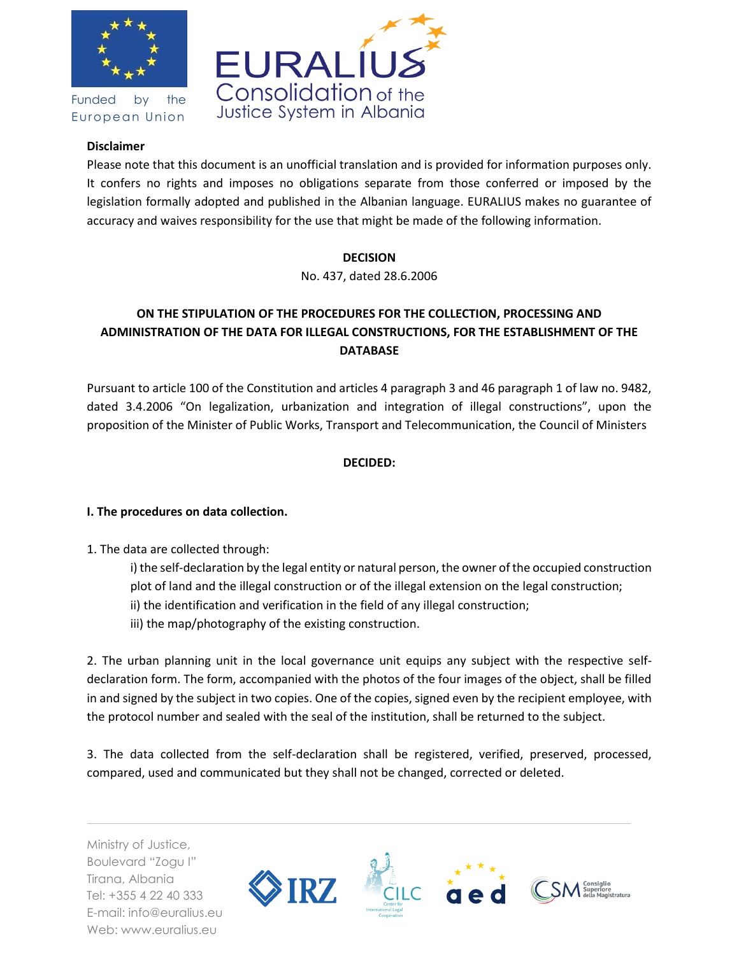



Funded by the European Union

## **Disclaimer**

Please note that this document is an unofficial translation and is provided for information purposes only. It confers no rights and imposes no obligations separate from those conferred or imposed by the legislation formally adopted and published in the Albanian language. EURALIUS makes no guarantee of accuracy and waives responsibility for the use that might be made of the following information.

## **DECISION**

No. 437, dated 28.6.2006

# **ON THE STIPULATION OF THE PROCEDURES FOR THE COLLECTION, PROCESSING AND ADMINISTRATION OF THE DATA FOR ILLEGAL CONSTRUCTIONS, FOR THE ESTABLISHMENT OF THE DATABASE**

Pursuant to article 100 of the Constitution and articles 4 paragraph 3 and 46 paragraph 1 of law no. 9482, dated 3.4.2006 "On legalization, urbanization and integration of illegal constructions", upon the proposition of the Minister of Public Works, Transport and Telecommunication, the Council of Ministers

## **DECIDED:**

## **I. The procedures on data collection.**

- 1. The data are collected through:
	- i) the self-declaration by the legal entity or natural person, the owner of the occupied construction plot of land and the illegal construction or of the illegal extension on the legal construction; ii) the identification and verification in the field of any illegal construction;
	- iii) the map/photography of the existing construction.

2. The urban planning unit in the local governance unit equips any subject with the respective selfdeclaration form. The form, accompanied with the photos of the four images of the object, shall be filled in and signed by the subject in two copies. One of the copies, signed even by the recipient employee, with the protocol number and sealed with the seal of the institution, shall be returned to the subject.

3. The data collected from the self-declaration shall be registered, verified, preserved, processed, compared, used and communicated but they shall not be changed, corrected or deleted.

Ministry of Justice, Boulevard "Zogu I" Tirana, Albania Tel: +355 4 22 40 333 E-mail: info@euralius.eu Web: www.euralius.eu

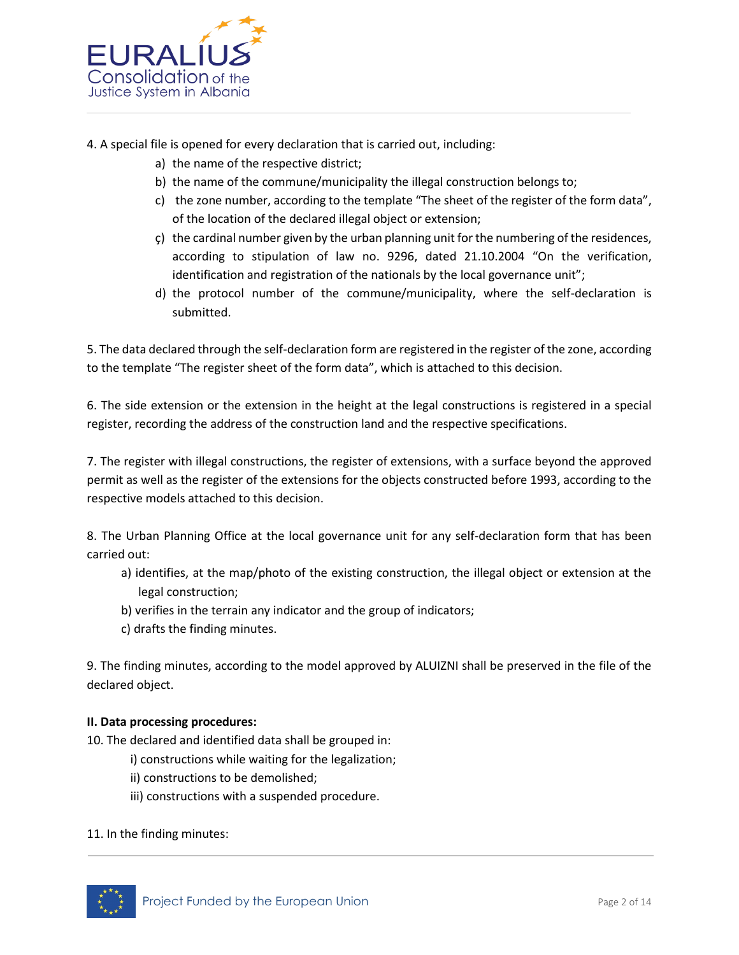

- 4. A special file is opened for every declaration that is carried out, including:
	- a) the name of the respective district;
	- b) the name of the commune/municipality the illegal construction belongs to;
	- c) the zone number, according to the template "The sheet of the register of the form data", of the location of the declared illegal object or extension;
	- ç) the cardinal number given by the urban planning unit for the numbering of the residences, according to stipulation of law no. 9296, dated 21.10.2004 "On the verification, identification and registration of the nationals by the local governance unit";
	- d) the protocol number of the commune/municipality, where the self-declaration is submitted.

5. The data declared through the self-declaration form are registered in the register of the zone, according to the template "The register sheet of the form data", which is attached to this decision.

6. The side extension or the extension in the height at the legal constructions is registered in a special register, recording the address of the construction land and the respective specifications.

7. The register with illegal constructions, the register of extensions, with a surface beyond the approved permit as well as the register of the extensions for the objects constructed before 1993, according to the respective models attached to this decision.

8. The Urban Planning Office at the local governance unit for any self-declaration form that has been carried out:

- a) identifies, at the map/photo of the existing construction, the illegal object or extension at the legal construction;
- b) verifies in the terrain any indicator and the group of indicators;
- c) drafts the finding minutes.

9. The finding minutes, according to the model approved by ALUIZNI shall be preserved in the file of the declared object.

#### **II. Data processing procedures:**

- 10. The declared and identified data shall be grouped in:
	- i) constructions while waiting for the legalization;
	- ii) constructions to be demolished;
	- iii) constructions with a suspended procedure.

#### 11. In the finding minutes:

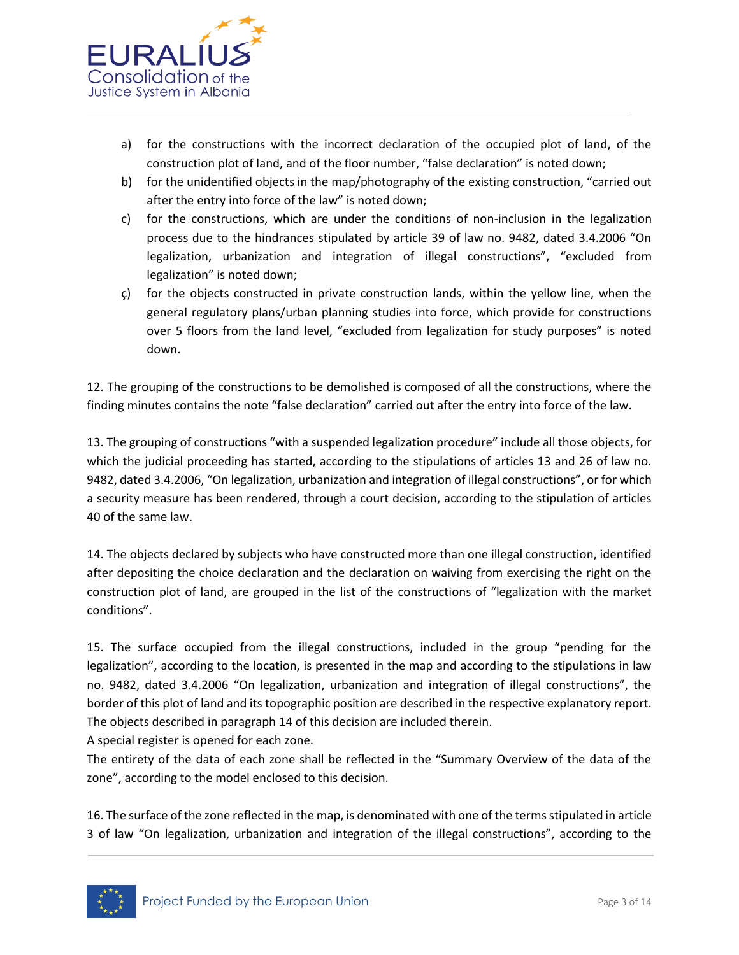

- a) for the constructions with the incorrect declaration of the occupied plot of land, of the construction plot of land, and of the floor number, "false declaration" is noted down;
- b) for the unidentified objects in the map/photography of the existing construction, "carried out after the entry into force of the law" is noted down;
- c) for the constructions, which are under the conditions of non-inclusion in the legalization process due to the hindrances stipulated by article 39 of law no. 9482, dated 3.4.2006 "On legalization, urbanization and integration of illegal constructions", "excluded from legalization" is noted down;
- ç) for the objects constructed in private construction lands, within the yellow line, when the general regulatory plans/urban planning studies into force, which provide for constructions over 5 floors from the land level, "excluded from legalization for study purposes" is noted down.

12. The grouping of the constructions to be demolished is composed of all the constructions, where the finding minutes contains the note "false declaration" carried out after the entry into force of the law.

13. The grouping of constructions "with a suspended legalization procedure" include all those objects, for which the judicial proceeding has started, according to the stipulations of articles 13 and 26 of law no. 9482, dated 3.4.2006, "On legalization, urbanization and integration of illegal constructions", or for which a security measure has been rendered, through a court decision, according to the stipulation of articles 40 of the same law.

14. The objects declared by subjects who have constructed more than one illegal construction, identified after depositing the choice declaration and the declaration on waiving from exercising the right on the construction plot of land, are grouped in the list of the constructions of "legalization with the market conditions".

15. The surface occupied from the illegal constructions, included in the group "pending for the legalization", according to the location, is presented in the map and according to the stipulations in law no. 9482, dated 3.4.2006 "On legalization, urbanization and integration of illegal constructions", the border of this plot of land and its topographic position are described in the respective explanatory report. The objects described in paragraph 14 of this decision are included therein.

A special register is opened for each zone.

The entirety of the data of each zone shall be reflected in the "Summary Overview of the data of the zone", according to the model enclosed to this decision.

16. The surface of the zone reflected in the map, is denominated with one of the terms stipulated in article 3 of law "On legalization, urbanization and integration of the illegal constructions", according to the

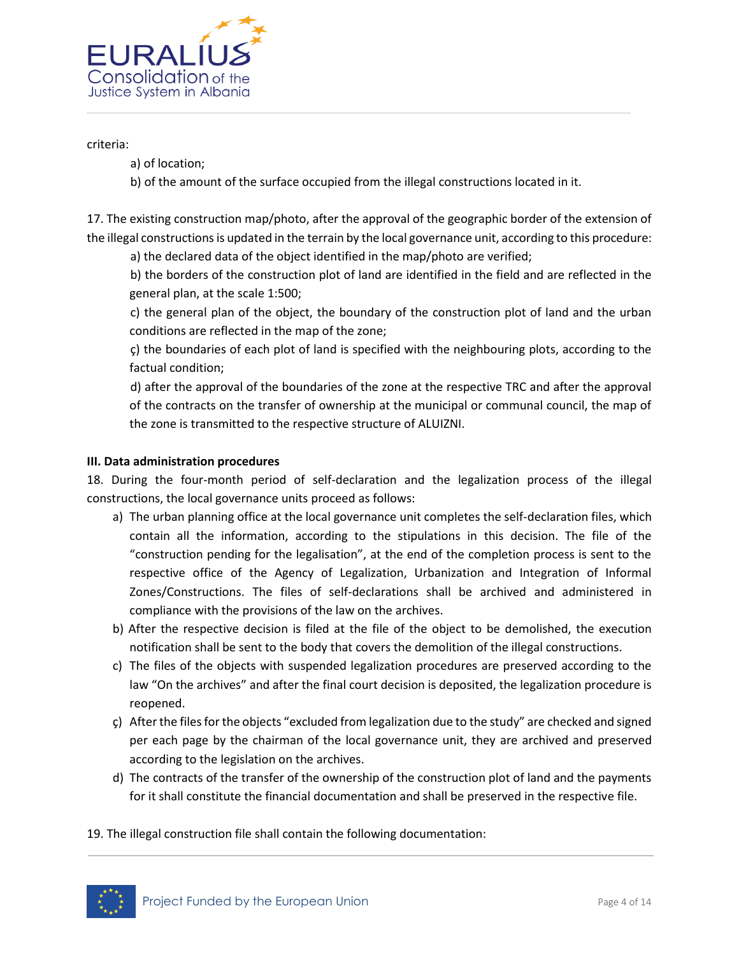

criteria:

- a) of location;
- b) of the amount of the surface occupied from the illegal constructions located in it.

17. The existing construction map/photo, after the approval of the geographic border of the extension of the illegal constructions is updated in the terrain by the local governance unit, according to this procedure:

a) the declared data of the object identified in the map/photo are verified;

b) the borders of the construction plot of land are identified in the field and are reflected in the general plan, at the scale 1:500;

c) the general plan of the object, the boundary of the construction plot of land and the urban conditions are reflected in the map of the zone;

ç) the boundaries of each plot of land is specified with the neighbouring plots, according to the factual condition;

d) after the approval of the boundaries of the zone at the respective TRC and after the approval of the contracts on the transfer of ownership at the municipal or communal council, the map of the zone is transmitted to the respective structure of ALUIZNI.

#### **III. Data administration procedures**

18. During the four-month period of self-declaration and the legalization process of the illegal constructions, the local governance units proceed as follows:

- a) The urban planning office at the local governance unit completes the self-declaration files, which contain all the information, according to the stipulations in this decision. The file of the "construction pending for the legalisation", at the end of the completion process is sent to the respective office of the Agency of Legalization, Urbanization and Integration of Informal Zones/Constructions. The files of self-declarations shall be archived and administered in compliance with the provisions of the law on the archives.
- b) After the respective decision is filed at the file of the object to be demolished, the execution notification shall be sent to the body that covers the demolition of the illegal constructions.
- c) The files of the objects with suspended legalization procedures are preserved according to the law "On the archives" and after the final court decision is deposited, the legalization procedure is reopened.
- ç) After the files for the objects "excluded from legalization due to the study" are checked and signed per each page by the chairman of the local governance unit, they are archived and preserved according to the legislation on the archives.
- d) The contracts of the transfer of the ownership of the construction plot of land and the payments for it shall constitute the financial documentation and shall be preserved in the respective file.
- 19. The illegal construction file shall contain the following documentation:

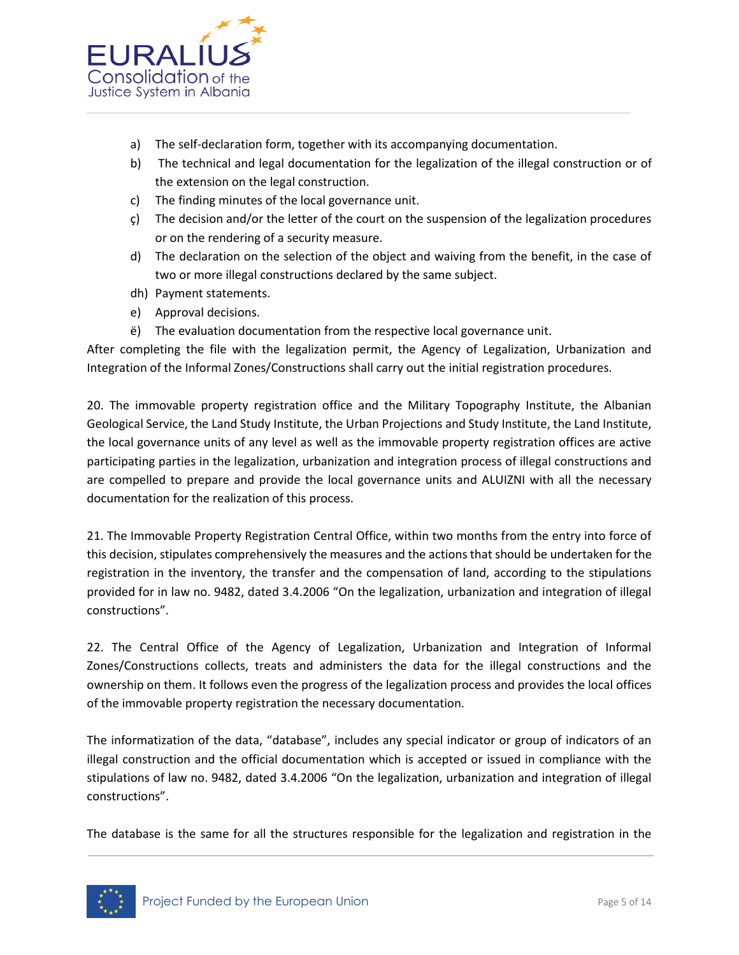

- a) The self-declaration form, together with its accompanying documentation.
- b) The technical and legal documentation for the legalization of the illegal construction or of the extension on the legal construction.
- c) The finding minutes of the local governance unit.
- ç) The decision and/or the letter of the court on the suspension of the legalization procedures or on the rendering of a security measure.
- d) The declaration on the selection of the object and waiving from the benefit, in the case of two or more illegal constructions declared by the same subject.
- dh) Payment statements.
- e) Approval decisions.
- ë) The evaluation documentation from the respective local governance unit.

After completing the file with the legalization permit, the Agency of Legalization, Urbanization and Integration of the Informal Zones/Constructions shall carry out the initial registration procedures.

20. The immovable property registration office and the Military Topography Institute, the Albanian Geological Service, the Land Study Institute, the Urban Projections and Study Institute, the Land Institute, the local governance units of any level as well as the immovable property registration offices are active participating parties in the legalization, urbanization and integration process of illegal constructions and are compelled to prepare and provide the local governance units and ALUIZNI with all the necessary documentation for the realization of this process.

21. The Immovable Property Registration Central Office, within two months from the entry into force of this decision, stipulates comprehensively the measures and the actions that should be undertaken for the registration in the inventory, the transfer and the compensation of land, according to the stipulations provided for in law no. 9482, dated 3.4.2006 "On the legalization, urbanization and integration of illegal constructions".

22. The Central Office of the Agency of Legalization, Urbanization and Integration of Informal Zones/Constructions collects, treats and administers the data for the illegal constructions and the ownership on them. It follows even the progress of the legalization process and provides the local offices of the immovable property registration the necessary documentation.

The informatization of the data, "database", includes any special indicator or group of indicators of an illegal construction and the official documentation which is accepted or issued in compliance with the stipulations of law no. 9482, dated 3.4.2006 "On the legalization, urbanization and integration of illegal constructions".

The database is the same for all the structures responsible for the legalization and registration in the

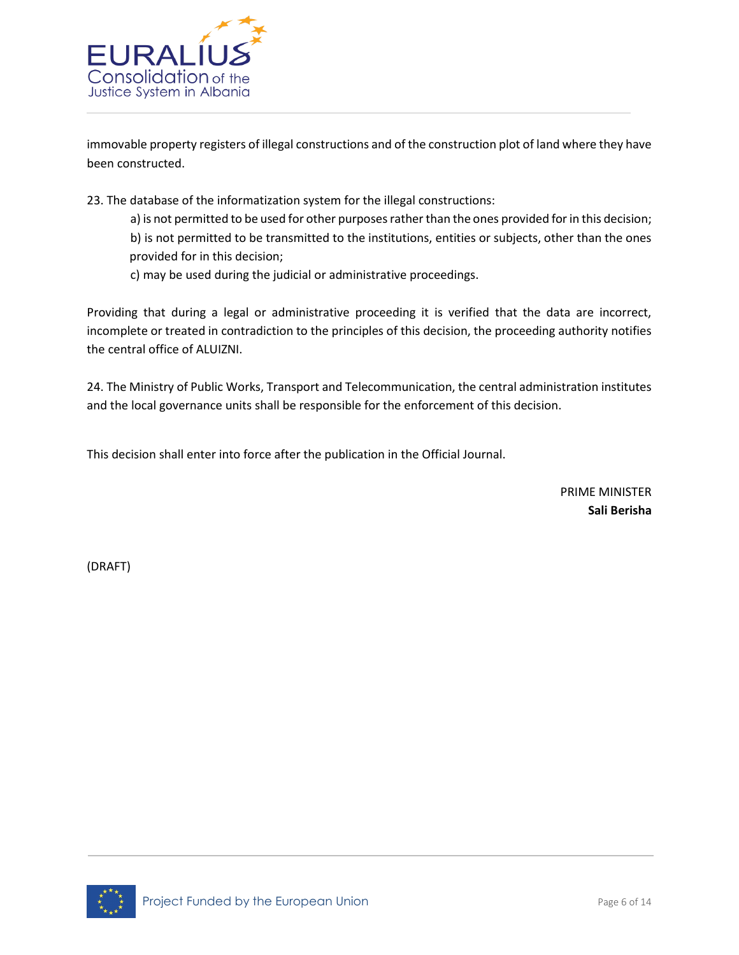

immovable property registers of illegal constructions and of the construction plot of land where they have been constructed.

23. The database of the informatization system for the illegal constructions:

a) is not permitted to be used for other purposes rather than the ones provided for in this decision; b) is not permitted to be transmitted to the institutions, entities or subjects, other than the ones provided for in this decision;

c) may be used during the judicial or administrative proceedings.

Providing that during a legal or administrative proceeding it is verified that the data are incorrect, incomplete or treated in contradiction to the principles of this decision, the proceeding authority notifies the central office of ALUIZNI.

24. The Ministry of Public Works, Transport and Telecommunication, the central administration institutes and the local governance units shall be responsible for the enforcement of this decision.

This decision shall enter into force after the publication in the Official Journal.

PRIME MINISTER **Sali Berisha**

(DRAFT)

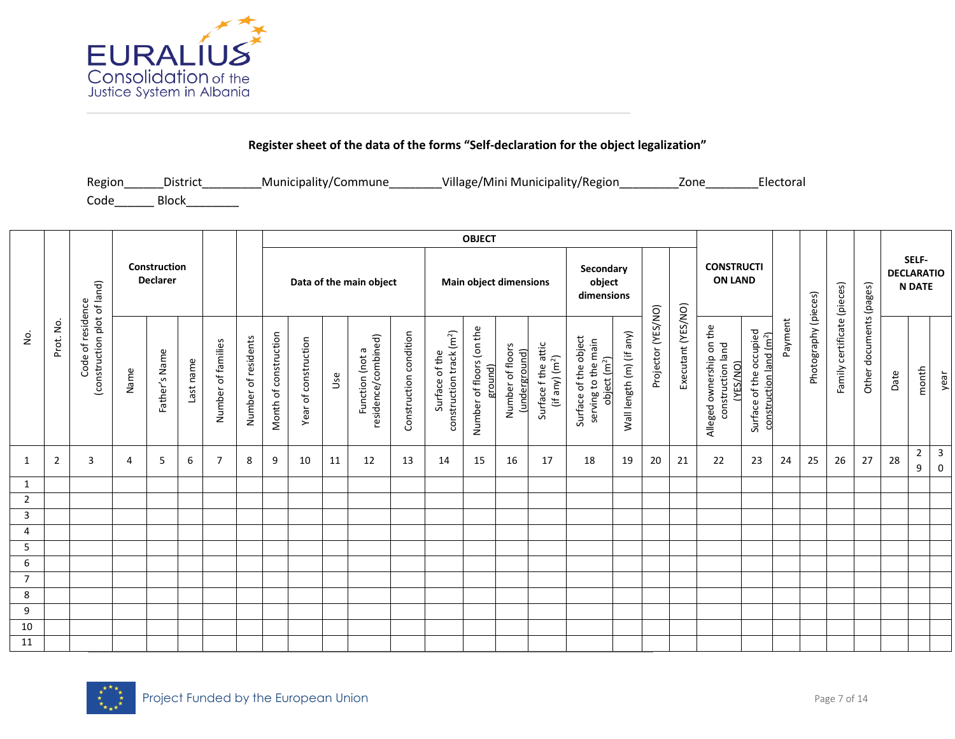

## **Register sheet of the data of the forms "Self-declaration for the object legalization"**

| Region | District     | Municipality/Commune | Village/Mini Municipality/Region | Zone | Electoral |
|--------|--------------|----------------------|----------------------------------|------|-----------|
| Code   | <b>Block</b> |                      |                                  |      |           |

|                |                         |                                                  |      |                                 |           |                    |                     |                       |                      |     |                                        |                        |                                                        | <b>OBJECT</b>                       |                                   |                                                   |                                                                          |                          |                    |                    |                                                               |                                                                |         |                      |                                |                         |      |                                             |                                      |
|----------------|-------------------------|--------------------------------------------------|------|---------------------------------|-----------|--------------------|---------------------|-----------------------|----------------------|-----|----------------------------------------|------------------------|--------------------------------------------------------|-------------------------------------|-----------------------------------|---------------------------------------------------|--------------------------------------------------------------------------|--------------------------|--------------------|--------------------|---------------------------------------------------------------|----------------------------------------------------------------|---------|----------------------|--------------------------------|-------------------------|------|---------------------------------------------|--------------------------------------|
|                |                         |                                                  |      | Construction<br><b>Declarer</b> |           |                    |                     |                       |                      |     | Data of the main object                |                        |                                                        |                                     | <b>Main object dimensions</b>     |                                                   | Secondary<br>object<br>dimensions                                        |                          |                    |                    | <b>CONSTRUCTI</b><br><b>ON LAND</b>                           |                                                                |         |                      |                                |                         |      | SELF-<br><b>DECLARATIO</b><br><b>N DATE</b> |                                      |
| ρ.             | $\overline{5}$<br>Prot. | (construction plot of land)<br>Code of residence | Name | Father's Name                   | Last name | Number of families | Number of residents | Month of construction | Year of construction | Use | residence/combined)<br>Function (not a | Construction condition | construction track (m <sup>2</sup> )<br>Surface of the | Number of floors (on the<br>ground) | Number of floors<br>(underground) | Surface f the attic<br>(if any) (m <sup>2</sup> ) | Surface of the object<br>serving to the main<br>object (m <sup>2</sup> ) | Wall length (m) (if any) | Projector (YES/NO) | Executant (YES/NO) | Alleged ownership on the<br>construction land<br><b>ES/NO</b> | Surface of the occupied<br>construction land (m <sup>2</sup> ) | Payment | Photography (pieces) | certificate (pieces)<br>Family | Other documents (pages) | Date | month                                       | year                                 |
| $\mathbf{1}$   | $\overline{2}$          | 3                                                | 4    | 5                               | 6         | $\overline{7}$     | 8                   | 9                     | 10                   | 11  | 12                                     | 13                     | 14                                                     | 15                                  | 16                                | 17                                                | 18                                                                       | 19                       | 20                 | 21                 | 22                                                            | 23                                                             | 24      | 25                   | 26                             | 27                      | 28   | $\overline{2}$<br>9                         | $\overline{\mathbf{3}}$<br>$\pmb{0}$ |
| $\mathbf{1}$   |                         |                                                  |      |                                 |           |                    |                     |                       |                      |     |                                        |                        |                                                        |                                     |                                   |                                                   |                                                                          |                          |                    |                    |                                                               |                                                                |         |                      |                                |                         |      |                                             |                                      |
| $\overline{2}$ |                         |                                                  |      |                                 |           |                    |                     |                       |                      |     |                                        |                        |                                                        |                                     |                                   |                                                   |                                                                          |                          |                    |                    |                                                               |                                                                |         |                      |                                |                         |      |                                             |                                      |
| $\mathsf{3}$   |                         |                                                  |      |                                 |           |                    |                     |                       |                      |     |                                        |                        |                                                        |                                     |                                   |                                                   |                                                                          |                          |                    |                    |                                                               |                                                                |         |                      |                                |                         |      |                                             |                                      |
| $\overline{4}$ |                         |                                                  |      |                                 |           |                    |                     |                       |                      |     |                                        |                        |                                                        |                                     |                                   |                                                   |                                                                          |                          |                    |                    |                                                               |                                                                |         |                      |                                |                         |      |                                             |                                      |
| $\overline{5}$ |                         |                                                  |      |                                 |           |                    |                     |                       |                      |     |                                        |                        |                                                        |                                     |                                   |                                                   |                                                                          |                          |                    |                    |                                                               |                                                                |         |                      |                                |                         |      |                                             |                                      |
| 6              |                         |                                                  |      |                                 |           |                    |                     |                       |                      |     |                                        |                        |                                                        |                                     |                                   |                                                   |                                                                          |                          |                    |                    |                                                               |                                                                |         |                      |                                |                         |      |                                             |                                      |
| $\overline{7}$ |                         |                                                  |      |                                 |           |                    |                     |                       |                      |     |                                        |                        |                                                        |                                     |                                   |                                                   |                                                                          |                          |                    |                    |                                                               |                                                                |         |                      |                                |                         |      |                                             |                                      |
| 8              |                         |                                                  |      |                                 |           |                    |                     |                       |                      |     |                                        |                        |                                                        |                                     |                                   |                                                   |                                                                          |                          |                    |                    |                                                               |                                                                |         |                      |                                |                         |      |                                             |                                      |
| 9<br>$10\,$    |                         |                                                  |      |                                 |           |                    |                     |                       |                      |     |                                        |                        |                                                        |                                     |                                   |                                                   |                                                                          |                          |                    |                    |                                                               |                                                                |         |                      |                                |                         |      |                                             |                                      |
| 11             |                         |                                                  |      |                                 |           |                    |                     |                       |                      |     |                                        |                        |                                                        |                                     |                                   |                                                   |                                                                          |                          |                    |                    |                                                               |                                                                |         |                      |                                |                         |      |                                             |                                      |

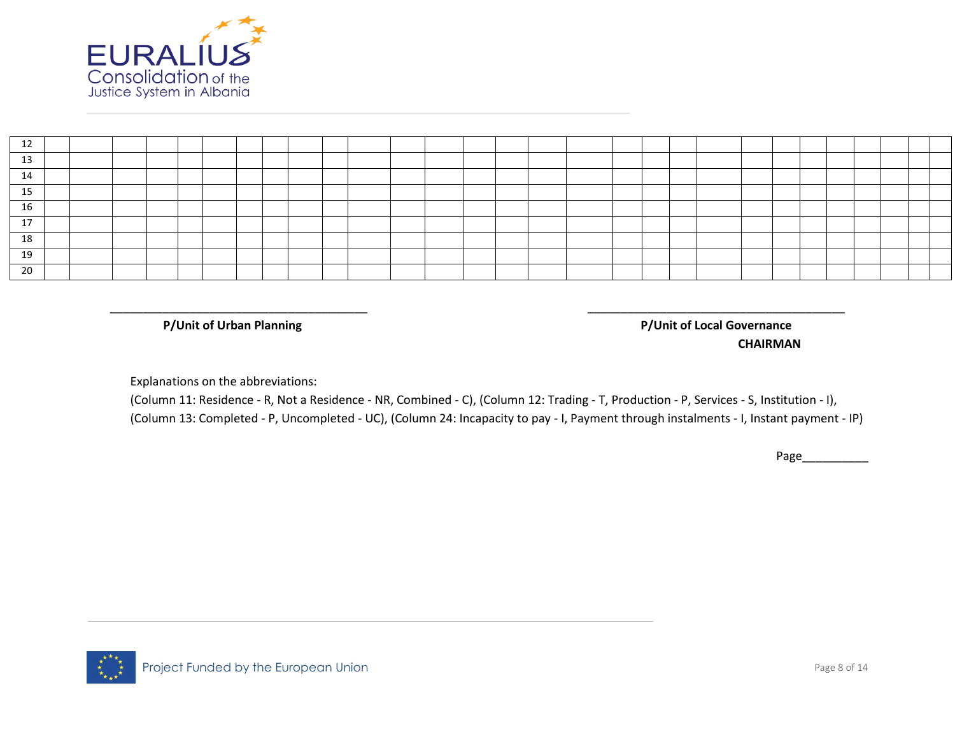

| ᅩ               |  |  |  |  |  |  |  |  |  |  |  |  |  |  |
|-----------------|--|--|--|--|--|--|--|--|--|--|--|--|--|--|
| 13              |  |  |  |  |  |  |  |  |  |  |  |  |  |  |
| 14              |  |  |  |  |  |  |  |  |  |  |  |  |  |  |
| <b>1 F</b><br>ᆦ |  |  |  |  |  |  |  |  |  |  |  |  |  |  |
| 16              |  |  |  |  |  |  |  |  |  |  |  |  |  |  |
| 17<br><b>L</b>  |  |  |  |  |  |  |  |  |  |  |  |  |  |  |
| 18              |  |  |  |  |  |  |  |  |  |  |  |  |  |  |
| 19              |  |  |  |  |  |  |  |  |  |  |  |  |  |  |
| 20              |  |  |  |  |  |  |  |  |  |  |  |  |  |  |

\_\_\_\_\_\_\_\_\_\_\_\_\_\_\_\_\_\_\_\_\_\_\_\_\_\_\_\_\_\_\_\_\_\_\_\_\_\_\_ \_\_\_\_\_\_\_\_\_\_\_\_\_\_\_\_\_\_\_\_\_\_\_\_\_\_\_\_\_\_\_\_\_\_\_\_\_\_\_

**P/Unit of Urban Planning P/Unit of Local Governance**

**CHAIRMAN**

Explanations on the abbreviations:

(Column 11: Residence - R, Not a Residence - NR, Combined - C), (Column 12: Trading - T, Production - P, Services - S, Institution - I), (Column 13: Completed - P, Uncompleted - UC), (Column 24: Incapacity to pay - I, Payment through instalments - I, Instant payment - IP)

Page\_\_\_\_\_\_\_\_\_\_

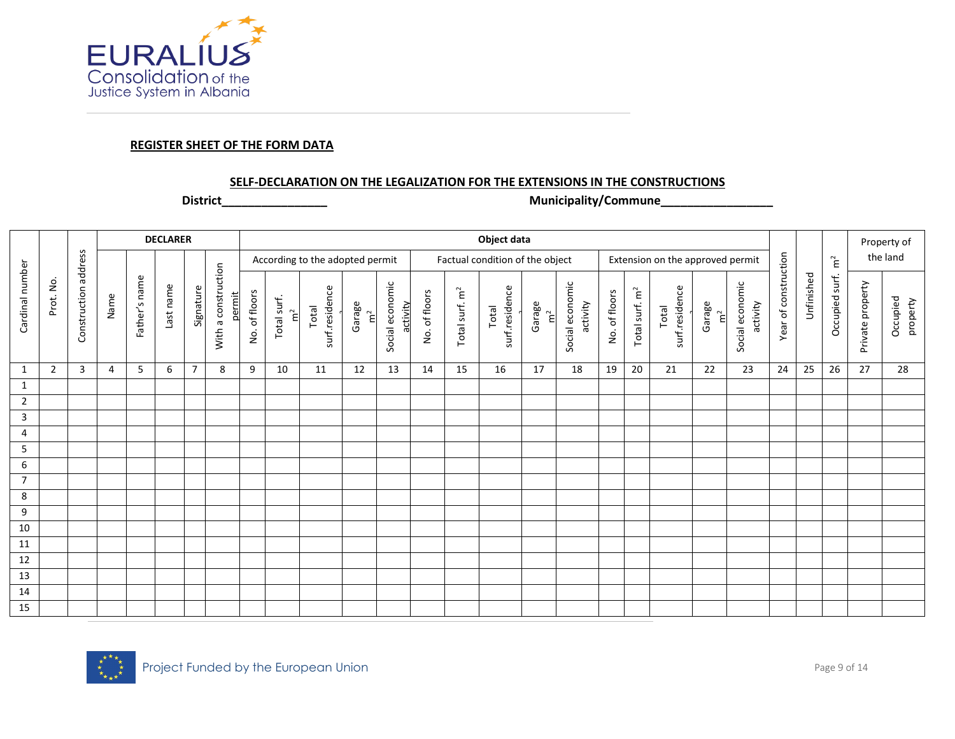

#### **REGISTER SHEET OF THE FORM DATA**

#### **SELF-DECLARATION ON THE LEGALIZATION FOR THE EXTENSIONS IN THE CONSTRUCTIONS**

**District\_\_\_\_\_\_\_\_\_\_\_\_\_\_\_\_ Municipality/Commune\_\_\_\_\_\_\_\_\_\_\_\_\_\_\_\_\_**

|                 |                |                      |      |               | <b>DECLARER</b> |                |                               |               |                            |                                 |              |                             |               |                            | Object data                     |                                |                             |               |                            |                                  |                       |                             |                      |            |                    |                  | Property of          |
|-----------------|----------------|----------------------|------|---------------|-----------------|----------------|-------------------------------|---------------|----------------------------|---------------------------------|--------------|-----------------------------|---------------|----------------------------|---------------------------------|--------------------------------|-----------------------------|---------------|----------------------------|----------------------------------|-----------------------|-----------------------------|----------------------|------------|--------------------|------------------|----------------------|
|                 |                |                      |      |               |                 |                |                               |               |                            | According to the adopted permit |              |                             |               |                            | Factual condition of the object |                                |                             |               |                            | Extension on the approved permit |                       |                             |                      |            | $\tilde{\epsilon}$ |                  | the land             |
| Cardinal number | Prot. No.      | Construction address | Name | Father's name | Last name       | Signature      | With a construction<br>permit | No. of floors | Total surf.<br>$\tilde{E}$ | surf.residence<br>Total         | Garage<br>່ີ | Social economic<br>activity | No. of floors | Total surf. m <sup>2</sup> | surf.residence<br>Total         | Garage<br>$\tilde{\mathbf{E}}$ | Social economic<br>activity | No. of floors | Total surf. m <sup>2</sup> | surf.residence<br>Total          | Garage<br>$\tilde{E}$ | Social economic<br>activity | Year of construction | Unfinished | Occupied surf.     | Private property | Occupied<br>property |
| $\mathbf{1}$    | $\overline{2}$ | 3                    | 4    | 5             | 6               | $\overline{7}$ | 8                             | 9             | 10                         | 11                              | 12           | 13                          | 14            | 15                         | 16                              | 17                             | 18                          | 19            | 20                         | 21                               | 22                    | 23                          | 24                   | 25         | 26                 | 27               | 28                   |
| $\mathbf{1}$    |                |                      |      |               |                 |                |                               |               |                            |                                 |              |                             |               |                            |                                 |                                |                             |               |                            |                                  |                       |                             |                      |            |                    |                  |                      |
| $\overline{2}$  |                |                      |      |               |                 |                |                               |               |                            |                                 |              |                             |               |                            |                                 |                                |                             |               |                            |                                  |                       |                             |                      |            |                    |                  |                      |
| 3               |                |                      |      |               |                 |                |                               |               |                            |                                 |              |                             |               |                            |                                 |                                |                             |               |                            |                                  |                       |                             |                      |            |                    |                  |                      |
| 4               |                |                      |      |               |                 |                |                               |               |                            |                                 |              |                             |               |                            |                                 |                                |                             |               |                            |                                  |                       |                             |                      |            |                    |                  |                      |
| 5               |                |                      |      |               |                 |                |                               |               |                            |                                 |              |                             |               |                            |                                 |                                |                             |               |                            |                                  |                       |                             |                      |            |                    |                  |                      |
| 6               |                |                      |      |               |                 |                |                               |               |                            |                                 |              |                             |               |                            |                                 |                                |                             |               |                            |                                  |                       |                             |                      |            |                    |                  |                      |
| $\overline{7}$  |                |                      |      |               |                 |                |                               |               |                            |                                 |              |                             |               |                            |                                 |                                |                             |               |                            |                                  |                       |                             |                      |            |                    |                  |                      |
| 8               |                |                      |      |               |                 |                |                               |               |                            |                                 |              |                             |               |                            |                                 |                                |                             |               |                            |                                  |                       |                             |                      |            |                    |                  |                      |
| 9               |                |                      |      |               |                 |                |                               |               |                            |                                 |              |                             |               |                            |                                 |                                |                             |               |                            |                                  |                       |                             |                      |            |                    |                  |                      |
| 10              |                |                      |      |               |                 |                |                               |               |                            |                                 |              |                             |               |                            |                                 |                                |                             |               |                            |                                  |                       |                             |                      |            |                    |                  |                      |
| 11              |                |                      |      |               |                 |                |                               |               |                            |                                 |              |                             |               |                            |                                 |                                |                             |               |                            |                                  |                       |                             |                      |            |                    |                  |                      |
| 12              |                |                      |      |               |                 |                |                               |               |                            |                                 |              |                             |               |                            |                                 |                                |                             |               |                            |                                  |                       |                             |                      |            |                    |                  |                      |
| 13              |                |                      |      |               |                 |                |                               |               |                            |                                 |              |                             |               |                            |                                 |                                |                             |               |                            |                                  |                       |                             |                      |            |                    |                  |                      |
| 14              |                |                      |      |               |                 |                |                               |               |                            |                                 |              |                             |               |                            |                                 |                                |                             |               |                            |                                  |                       |                             |                      |            |                    |                  |                      |
| 15              |                |                      |      |               |                 |                |                               |               |                            |                                 |              |                             |               |                            |                                 |                                |                             |               |                            |                                  |                       |                             |                      |            |                    |                  |                      |

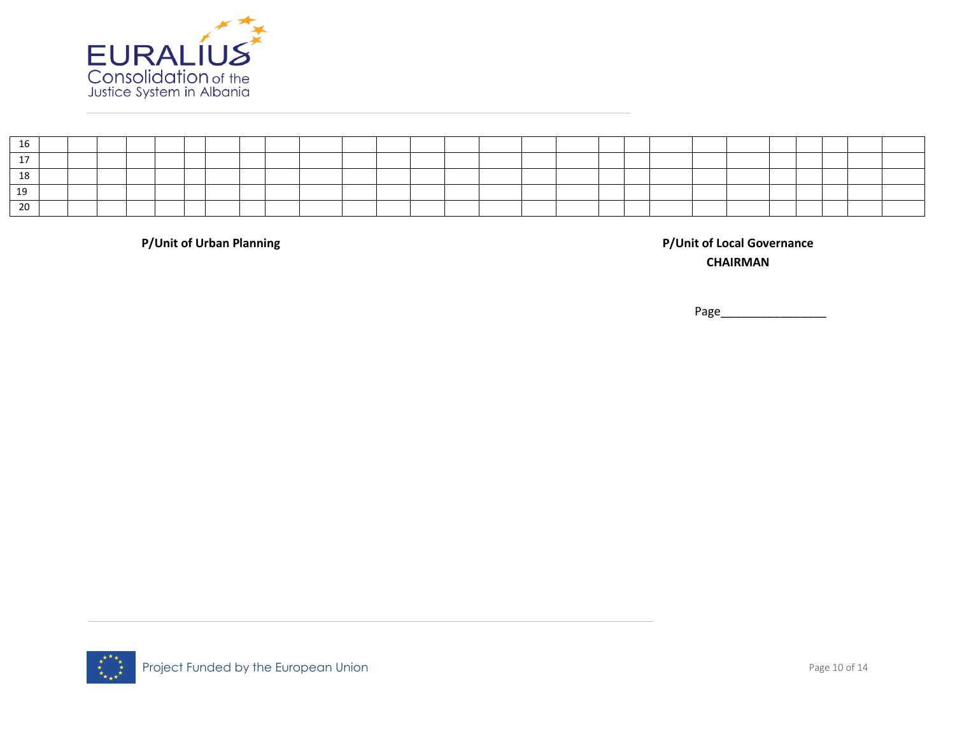

| τq             |  |  |  |  |  |  |  |  |  |  |  |  |  |  |
|----------------|--|--|--|--|--|--|--|--|--|--|--|--|--|--|
|                |  |  |  |  |  |  |  |  |  |  |  |  |  |  |
| - 10           |  |  |  |  |  |  |  |  |  |  |  |  |  |  |
| 10             |  |  |  |  |  |  |  |  |  |  |  |  |  |  |
| $\Omega$<br>zu |  |  |  |  |  |  |  |  |  |  |  |  |  |  |

**P/Unit of Urban Planning P/Unit of Local Governance CHAIRMAN**

Page\_\_\_\_\_

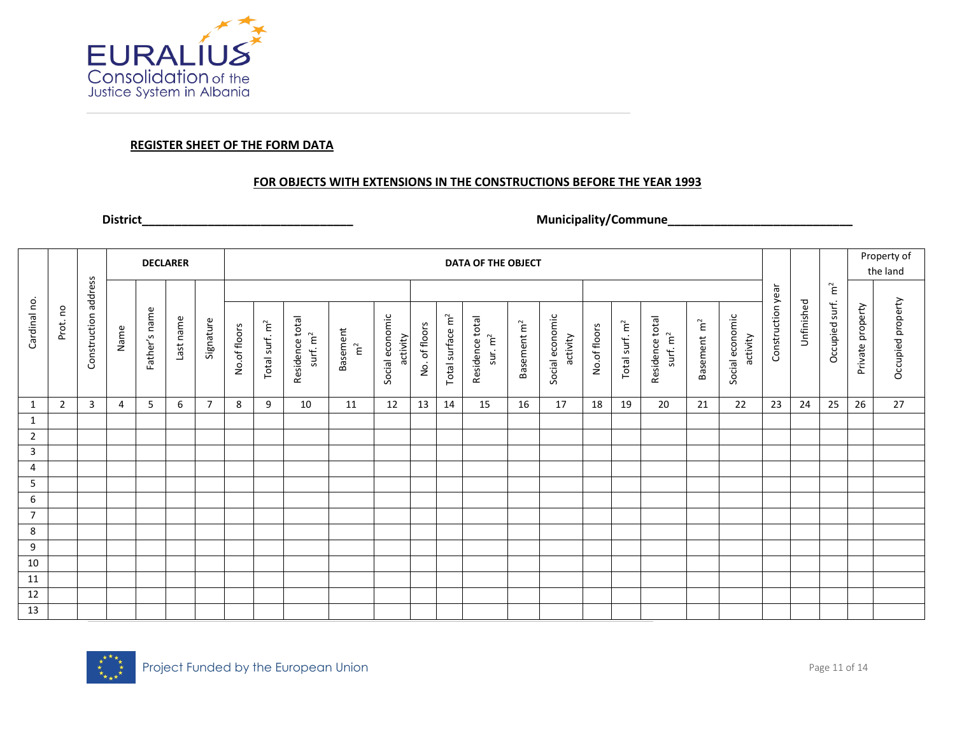

#### **REGISTER SHEET OF THE FORM DATA**

#### **FOR OBJECTS WITH EXTENSIONS IN THE CONSTRUCTIONS BEFORE THE YEAR 1993**

## **District\_\_\_\_\_\_\_\_\_\_\_\_\_\_\_\_\_\_\_\_\_\_\_\_\_\_\_\_\_\_\_\_ Municipality/Commune\_\_\_\_\_\_\_\_\_\_\_\_\_\_\_\_\_\_\_\_\_\_\_\_\_\_\_\_**

|                |         |                         |      | <b>DECLARER</b> |           |           |              |                            |                               |                         |                             |               |                              | DATA OF THE OBJECT                     |                         |                             |              |                            |                               |                         |                             |                   |            |                            |                  | Property of       |
|----------------|---------|-------------------------|------|-----------------|-----------|-----------|--------------|----------------------------|-------------------------------|-------------------------|-----------------------------|---------------|------------------------------|----------------------------------------|-------------------------|-----------------------------|--------------|----------------------------|-------------------------------|-------------------------|-----------------------------|-------------------|------------|----------------------------|------------------|-------------------|
|                |         |                         |      |                 |           |           |              |                            |                               |                         |                             |               |                              |                                        |                         |                             |              |                            |                               |                         |                             |                   |            |                            |                  | the land          |
|                |         |                         |      |                 |           |           |              |                            |                               |                         |                             |               |                              |                                        |                         |                             |              |                            |                               |                         |                             |                   |            | $\widetilde{\mathsf{r}}^2$ |                  |                   |
| Cardinal no.   | Prot.no | address<br>Construction | Name | Father's name   | Last name | Signature | No.of floors | Total surf. m <sup>2</sup> | Residence total<br>surf. $m2$ | Basement<br>$\tilde{E}$ | Social economic<br>activity | No. of floors | Total surface m <sup>2</sup> | Residence total<br>sur. m <sup>2</sup> | Basement m <sup>2</sup> | Social economic<br>activity | No.of floors | Total surf. m <sup>2</sup> | Residence total<br>surf. $m2$ | Basement m <sup>2</sup> | Social economic<br>activity | Construction year | Unfinished | Occupied surf.             | Private property | Occupied property |
| 1              | 2       | 3                       | 4    | 5               | 6         | 7         | 8            | 9                          | 10                            | 11                      | 12                          | 13            | 14                           | 15                                     | 16                      | 17                          | 18           | 19                         | 20                            | 21                      | 22                          | 23                | 24         | 25                         | 26               | 27                |
| $\mathbf{1}$   |         |                         |      |                 |           |           |              |                            |                               |                         |                             |               |                              |                                        |                         |                             |              |                            |                               |                         |                             |                   |            |                            |                  |                   |
| $\overline{2}$ |         |                         |      |                 |           |           |              |                            |                               |                         |                             |               |                              |                                        |                         |                             |              |                            |                               |                         |                             |                   |            |                            |                  |                   |
| 3              |         |                         |      |                 |           |           |              |                            |                               |                         |                             |               |                              |                                        |                         |                             |              |                            |                               |                         |                             |                   |            |                            |                  |                   |
| 4              |         |                         |      |                 |           |           |              |                            |                               |                         |                             |               |                              |                                        |                         |                             |              |                            |                               |                         |                             |                   |            |                            |                  |                   |
| 5              |         |                         |      |                 |           |           |              |                            |                               |                         |                             |               |                              |                                        |                         |                             |              |                            |                               |                         |                             |                   |            |                            |                  |                   |
| 6              |         |                         |      |                 |           |           |              |                            |                               |                         |                             |               |                              |                                        |                         |                             |              |                            |                               |                         |                             |                   |            |                            |                  |                   |
| $\overline{7}$ |         |                         |      |                 |           |           |              |                            |                               |                         |                             |               |                              |                                        |                         |                             |              |                            |                               |                         |                             |                   |            |                            |                  |                   |
| 8              |         |                         |      |                 |           |           |              |                            |                               |                         |                             |               |                              |                                        |                         |                             |              |                            |                               |                         |                             |                   |            |                            |                  |                   |
| 9              |         |                         |      |                 |           |           |              |                            |                               |                         |                             |               |                              |                                        |                         |                             |              |                            |                               |                         |                             |                   |            |                            |                  |                   |
| 10             |         |                         |      |                 |           |           |              |                            |                               |                         |                             |               |                              |                                        |                         |                             |              |                            |                               |                         |                             |                   |            |                            |                  |                   |
| 11             |         |                         |      |                 |           |           |              |                            |                               |                         |                             |               |                              |                                        |                         |                             |              |                            |                               |                         |                             |                   |            |                            |                  |                   |
| 12             |         |                         |      |                 |           |           |              |                            |                               |                         |                             |               |                              |                                        |                         |                             |              |                            |                               |                         |                             |                   |            |                            |                  |                   |
| 13             |         |                         |      |                 |           |           |              |                            |                               |                         |                             |               |                              |                                        |                         |                             |              |                            |                               |                         |                             |                   |            |                            |                  |                   |

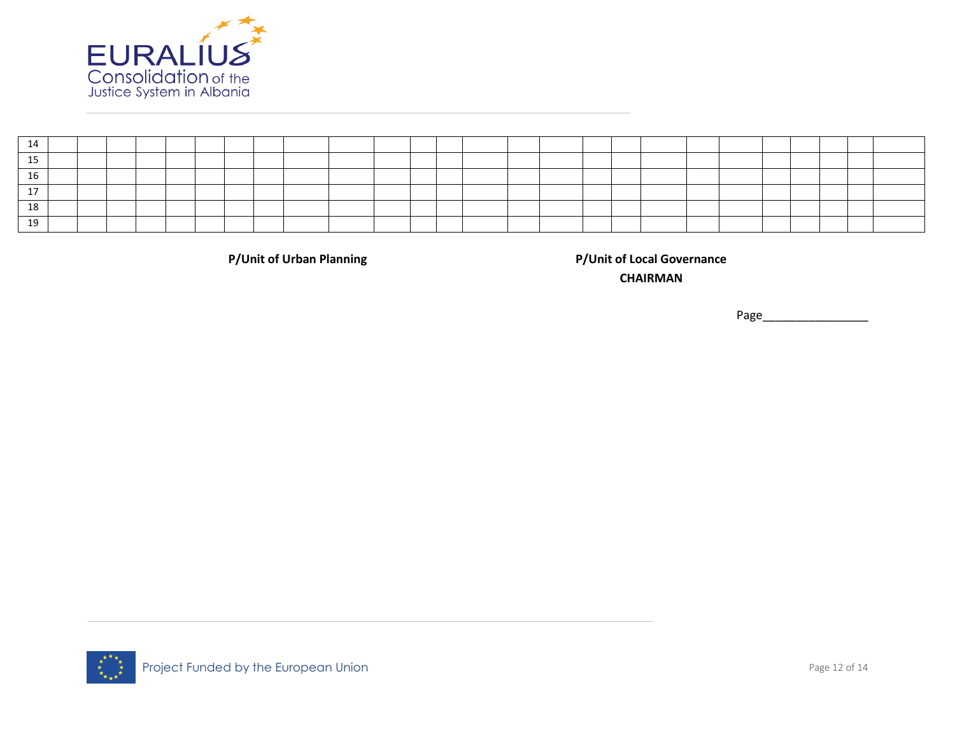

| $\Delta$ |  |  |  |  |  |  |  |  |  |  |  |  |  |
|----------|--|--|--|--|--|--|--|--|--|--|--|--|--|
| 10       |  |  |  |  |  |  |  |  |  |  |  |  |  |

**P/Unit of Urban Planning P/Unit of Local Governance CHAIRMAN**

Page\_

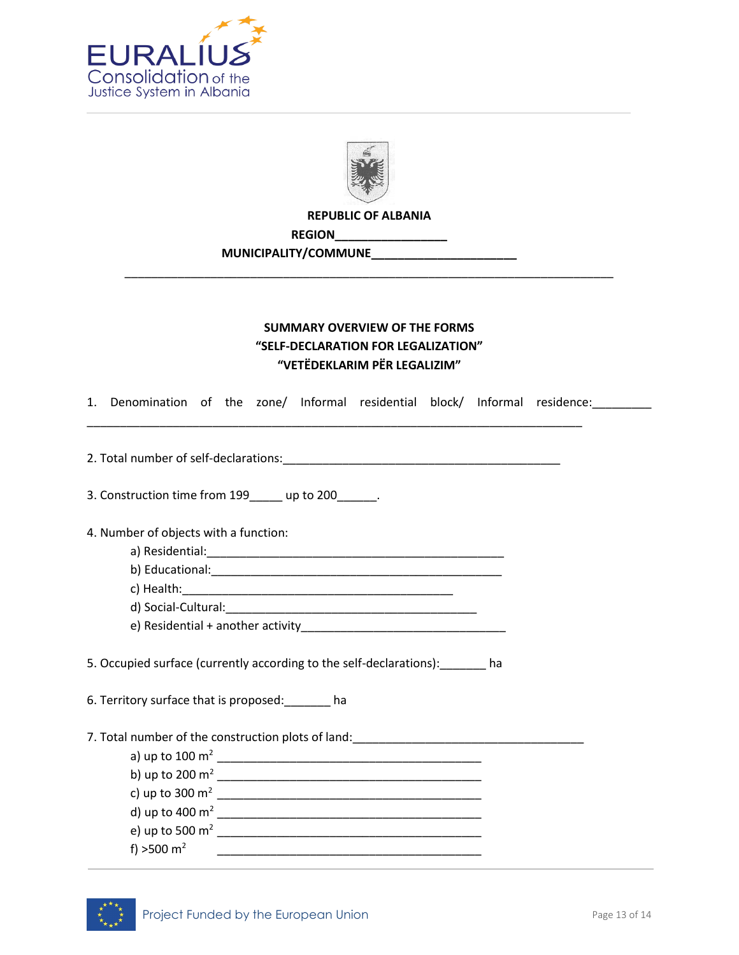



**REPUBLIC OF ALBANIA**

\_\_\_\_\_\_\_\_\_\_\_\_\_\_\_\_\_\_\_\_\_\_\_\_\_\_\_\_\_\_\_\_\_\_\_\_\_\_\_\_\_\_\_\_\_\_\_\_\_\_\_\_\_\_\_\_\_\_\_\_\_\_\_\_\_\_\_\_\_\_\_\_\_\_

**REGION\_\_\_\_\_\_\_\_\_\_\_\_\_\_\_\_\_**

**MUNICIPALITY/COMMUNE\_\_\_\_\_\_\_\_\_\_\_\_\_\_\_\_\_\_\_\_\_\_**

# **SUMMARY OVERVIEW OF THE FORMS "SELF-DECLARATION FOR LEGALIZATION" "VETËDEKLARIM PËR LEGALIZIM"**

1. Denomination of the zone/ Informal residential block/ Informal residence: \_\_\_\_\_\_\_ \_\_\_\_\_\_\_\_\_\_\_\_\_\_\_\_\_\_\_\_\_\_\_\_\_\_\_\_\_\_\_\_\_\_\_\_\_\_\_\_\_\_\_\_\_\_\_\_\_\_\_\_\_\_\_\_\_\_\_\_\_\_\_\_\_\_\_\_\_\_\_\_\_\_\_

2. Total number of self-declarations:

3. Construction time from 199 up to 200 .

4. Number of objects with a function:

a) Residential:\_\_\_\_\_\_\_\_\_\_\_\_\_\_\_\_\_\_\_\_\_\_\_\_\_\_\_\_\_\_\_\_\_\_\_\_\_\_\_\_\_\_\_\_\_

b) Educational:\_\_\_\_\_\_\_\_\_\_\_\_\_\_\_\_\_\_\_\_\_\_\_\_\_\_\_\_\_\_\_\_\_\_\_\_\_\_\_\_\_\_\_\_

c) Health:\_\_\_\_\_\_\_\_\_\_\_\_\_\_\_\_\_\_\_\_\_\_\_\_\_\_\_\_\_\_\_\_\_\_\_\_\_\_\_\_\_

d) Social-Cultural:\_\_\_\_\_\_\_\_\_\_\_\_\_\_\_\_\_\_\_\_\_\_\_\_\_\_\_\_\_\_\_\_\_\_\_\_\_\_

e) Residential + another activity\_\_\_\_\_\_\_\_\_\_\_\_\_\_\_\_\_\_\_\_\_\_\_\_\_\_\_\_\_\_\_

5. Occupied surface (currently according to the self-declarations):\_\_\_\_\_\_\_ ha

6. Territory surface that is proposed:\_\_\_\_\_\_\_ ha

7. Total number of the construction plots of land:

| d) up to 400 $m2$ |
|-------------------|
| e) up to 500 $m2$ |
|                   |
|                   |